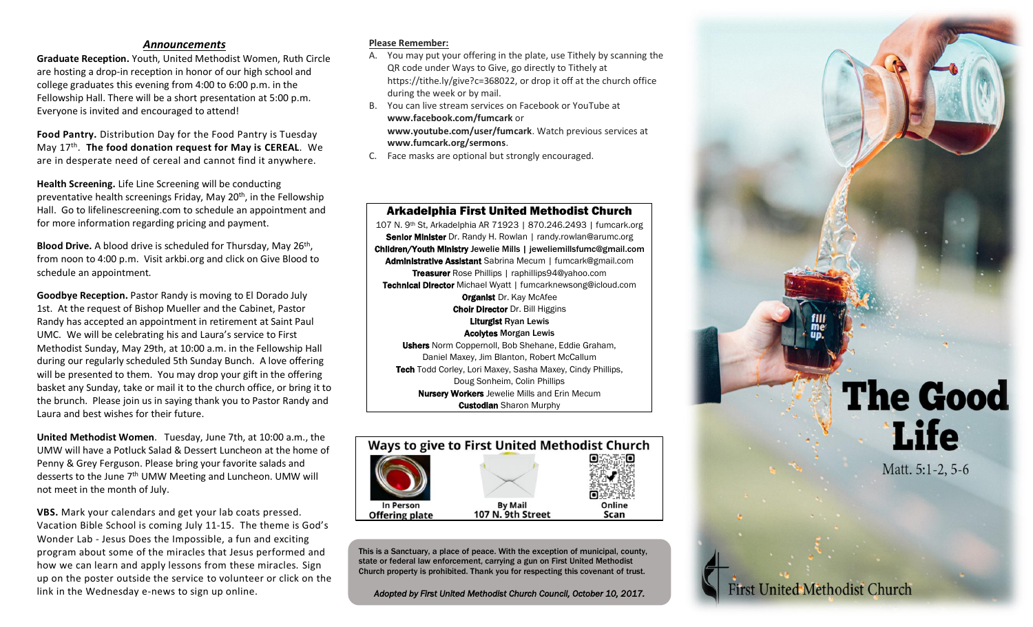# *Announcements*

**Graduate Reception.** Youth, United Methodist Women, Ruth Circle are hosting a drop-in reception in honor of our high school and college graduates this evening from 4:00 to 6:00 p.m. in the Fellowship Hall. There will be a short presentation at 5:00 p.m. Everyone is invited and encouraged to attend!

**Food Pantry.** Distribution Day for the Food Pantry is Tuesday May 17th . **The food donation request for May is CEREAL**. We are in desperate need of cereal and cannot find it anywhere.

**Health Screening.** Life Line Screening will be conducting preventative health screenings Friday, May 20<sup>th</sup>, in the Fellowship Hall. Go to lifelinescreening.com to schedule an appointment and for more information regarding pricing and payment.

Blood Drive. A blood drive is scheduled for Thursday, May 26<sup>th</sup>, from noon to 4:00 p.m. Visit arkbi.org and click on Give Blood to schedule an appointment.

**Goodbye Reception.** Pastor Randy is moving to El Dorado July 1st. At the request of Bishop Mueller and the Cabinet, Pastor Randy has accepted an appointment in retirement at Saint Paul UMC. We will be celebrating his and Laura's service to First Methodist Sunday, May 29th, at 10:00 a.m. in the Fellowship Hall during our regularly scheduled 5th Sunday Bunch. A love offering will be presented to them. You may drop your gift in the offering basket any Sunday, take or mail it to the church office, or bring it to the brunch. Please join us in saying thank you to Pastor Randy and Laura and best wishes for their future.

**United Methodist Women**. Tuesday, June 7th, at 10:00 a.m., the UMW will have a Potluck Salad & Dessert Luncheon at the home of Penny & Grey Ferguson. Please bring your favorite salads and desserts to the June 7<sup>th</sup> UMW Meeting and Luncheon. UMW will not meet in the month of July.

**VBS.** Mark your calendars and get your lab coats pressed. Vacation Bible School is coming July 11-15. The theme is God's Wonder Lab - Jesus Does the Impossible, a fun and exciting program about some of the miracles that Jesus performed and how we can learn and apply lessons from these miracles. Sign up on the poster outside the service to volunteer or click on the link in the Wednesday e-news to sign up online.

### **Please Remember:**

- A. You may put your offering in the plate, use Tithely by scanning the QR code under Ways to Give, go directly to Tithely at https://tithe.ly/give?c=368022, or drop it off at the church office during the week or by mail.
- B. You can live stream services on Facebook or YouTube at **www.facebook.com/fumcark** or **www.youtube.com/user/fumcark**. Watch previous services at **www.fumcark.org/sermons**.
- C. Face masks are optional but strongly encouraged.

## Arkadelphia First United Methodist Church

107 N. 9th St, Arkadelphia AR 71923 | 870.246.2493 | fumcark.org Senior Minister Dr. Randy H. Rowlan | randy.rowlan@arumc.org Children/Youth Ministry Jewelie Mills | jeweliemillsfumc@gmail.com Administrative Assistant Sabrina Mecum | fumcark@gmail.com Treasurer Rose Phillips | raphillips94@yahoo.com Technical Director Michael Wyatt | fumcarknewsong@icloud.com **Organist Dr. Kay McAfee Choir Director Dr. Bill Higgins** Liturgist Ryan Lewis Acolytes Morgan Lewis Ushers Norm Coppernoll, Bob Shehane, Eddie Graham, Daniel Maxey, Jim Blanton, Robert McCallum Tech Todd Corley, Lori Maxey, Sasha Maxey, Cindy Phillips, Doug Sonheim, Colin Phillips

Nursery Workers Jewelie Mills and Erin Mecum **Custodian Sharon Murphy** 



This is a Sanctuary, a place of peace. With the exception of municipal, county, state or federal law enforcement, carrying a gun on First United Methodist Church property is prohibited. Thank you for respecting this covenant of trust.

*Adopted by First United Methodist Church Council, October 10, 2017.*

# **The Good Life**

Matt. 5:1-2, 5-6

**First United Methodist Church**